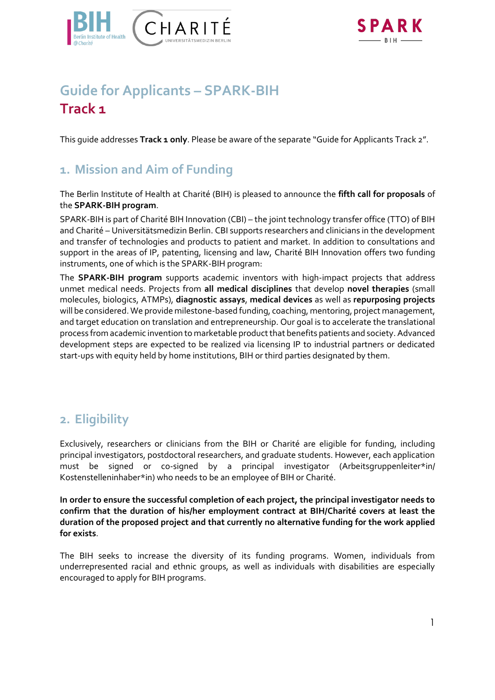



# **Guide for Applicants – SPARK-BIH Track 1**

This guide addresses **Track 1 only**. Please be aware of the separate "Guide for Applicants Track 2".

### **1. Mission and Aim of Funding**

The Berlin Institute of Health at Charité (BIH) is pleased to announce the **fifth call for proposals** of the **SPARK-BIH program**.

SPARK-BIH is part of Charité BIH Innovation (CBI) – the joint technology transfer office (TTO) of BIH and Charité – Universitätsmedizin Berlin. CBI supports researchers and clinicians in the development and transfer of technologies and products to patient and market. In addition to consultations and support in the areas of IP, patenting, licensing and law, Charité BIH Innovation offers two funding instruments, one of which is the SPARK-BIH program:

The **SPARK-BIH program** supports academic inventors with high-impact projects that address unmet medical needs. Projects from **all medical disciplines** that develop **novel therapies** (small molecules, biologics, ATMPs), **diagnostic assays**, **medical devices** as well as **repurposing projects**  will be considered. We provide milestone-based funding, coaching, mentoring, project management, and target education on translation and entrepreneurship. Our goal is to accelerate the translational process from academic invention to marketable product that benefits patients and society. Advanced development steps are expected to be realized via licensing IP to industrial partners or dedicated start-ups with equity held by home institutions, BIH or third parties designated by them.

### **2. Eligibility**

Exclusively, researchers or clinicians from the BIH or Charité are eligible for funding, including principal investigators, postdoctoral researchers, and graduate students. However, each application must be signed or co-signed by a principal investigator (Arbeitsgruppenleiter\*in/ Kostenstelleninhaber\*in) who needs to be an employee of BIH or Charité.

**In order to ensure the successful completion of each project, the principal investigator needs to confirm that the duration of his/her employment contract at BIH/Charité covers at least the duration of the proposed project and that currently no alternative funding for the work applied for exists**.

The BIH seeks to increase the diversity of its funding programs. Women, individuals from underrepresented racial and ethnic groups, as well as individuals with disabilities are especially encouraged to apply for BIH programs.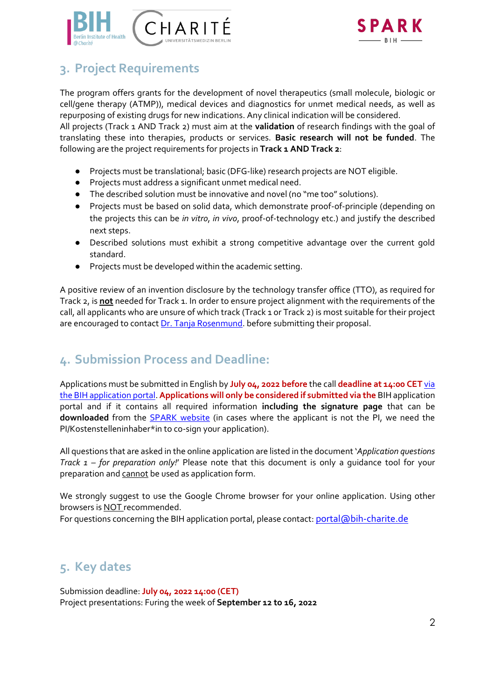



## **3. Project Requirements**

The program offers grants for the development of novel therapeutics (small molecule, biologic or cell/gene therapy (ATMP)), medical devices and diagnostics for unmet medical needs, as well as repurposing of existing drugs for new indications. Any clinical indication will be considered.

All projects (Track 1 AND Track 2) must aim at the **validation** of research findings with the goal of translating these into therapies, products or services. **Basic research will not be funded**. The following are the project requirements for projects in **Track 1 AND Track 2**:

- Projects must be translational; basic (DFG-like) research projects are NOT eligible.
- Projects must address a significant unmet medical need.
- The described solution must be innovative and novel (no "me too" solutions).
- Projects must be based on solid data, which demonstrate proof-of-principle (depending on the projects this can be *in vitro*, *in vivo*, proof-of-technology etc.) and justify the described next steps.
- Described solutions must exhibit a strong competitive advantage over the current gold standard.
- Projects must be developed within the academic setting.

A positive review of an invention disclosure by the technology transfer office (TTO), as required for Track 2, is **not** needed for Track 1. In order to ensure project alignment with the requirements of the call, all applicants who are unsure of which track (Track 1 or Track 2) is most suitable for their project are encouraged to contac[t Dr. Tanja Rosenmund.](mailto:tanja.rosenmund@bih-charite.de) before submitting their proposal.

### **4. Submission Process and Deadline:**

Applications must be submitted in English by **July 04, 2022 before** the call **deadline at 14:00 CET** [via](https://portal.bihealth.de/portal/)  [the BIH application portal.](https://portal.bihealth.de/portal/) **Applications will only be considered if submitted via the** [BIH application](https://portal.bihealth.de/portal/SitePages/Portal-Start-New-Application.aspx)  portal and if it contains all required information **including the signature page** that can be **downloaded** from the [SPARK website](https://www.spark-bih.de/program/application) (in cases where the applicant is not the PI, we need the PI/Kostenstelleninhaber\*in to co-sign your application).

All questions that are asked in the online application are listed in the document '*Application questions Track 1 – for preparation only!*' Please note that this document is only a guidance tool for your preparation and cannot be used as application form.

We strongly suggest to use the Google Chrome browser for your online application. Using other browsers is NOT recommended.

For questions concerning the BIH application portal, please contact: [portal@bih-charite.de](mailto:portal@bih-charite.de)

### **5. Key dates**

Submission deadline: **July 04, 2022 14:00 (CET)** Project presentations: Furing the week of **September 12 to 16, 2022**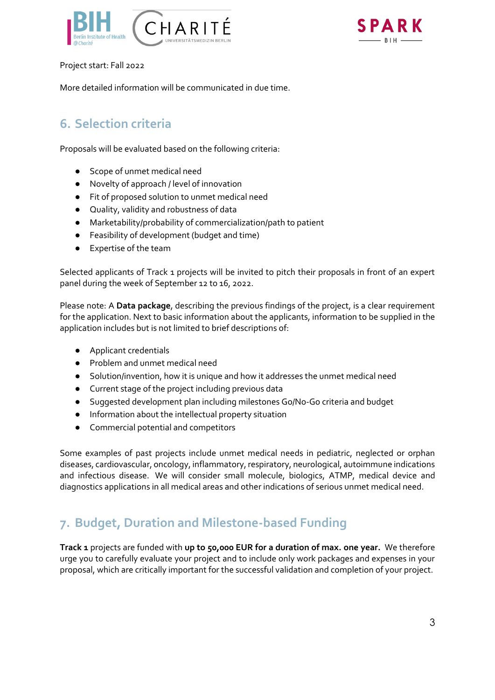



Project start: Fall 2022

More detailed information will be communicated in due time.

## **6. Selection criteria**

Proposals will be evaluated based on the following criteria:

- Scope of unmet medical need
- Novelty of approach / level of innovation
- Fit of proposed solution to unmet medical need
- Quality, validity and robustness of data
- Marketability/probability of commercialization/path to patient
- Feasibility of development (budget and time)
- Expertise of the team

Selected applicants of Track 1 projects will be invited to pitch their proposals in front of an expert panel during the week of September 12 to 16, 2022.

Please note: A **Data package**, describing the previous findings of the project, is a clear requirement for the application. Next to basic information about the applicants, information to be supplied in the application includes but is not limited to brief descriptions of:

- Applicant credentials
- Problem and unmet medical need
- Solution/invention, how it is unique and how it addresses the unmet medical need
- Current stage of the project including previous data
- Suggested development plan including milestones Go/No-Go criteria and budget
- Information about the intellectual property situation
- Commercial potential and competitors

Some examples of past projects include unmet medical needs in pediatric, neglected or orphan diseases, cardiovascular, oncology, inflammatory, respiratory, neurological, autoimmune indications and infectious disease. We will consider small molecule, biologics, ATMP, medical device and diagnostics applications in all medical areas and other indications of serious unmet medical need.

### **7. Budget, Duration and Milestone-based Funding**

**Track 1** projects are funded with **up to 50,000 EUR for a duration of max. one year.** We therefore urge you to carefully evaluate your project and to include only work packages and expenses in your proposal, which are critically important for the successful validation and completion of your project.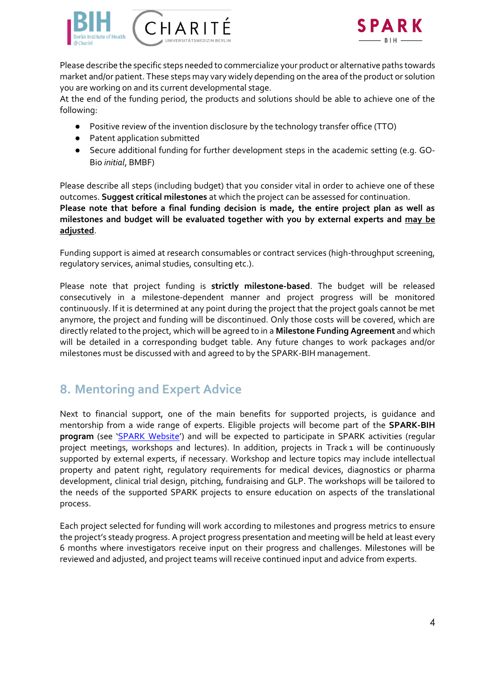



Please describe the specific steps needed to commercialize your product or alternative paths towards market and/or patient. These steps may vary widely depending on the area of the product or solution you are working on and its current developmental stage.

At the end of the funding period, the products and solutions should be able to achieve one of the following:

- Positive review of the invention disclosure by the technology transfer office (TTO)
- Patent application submitted
- Secure additional funding for further development steps in the academic setting (e.g. GO-Bio *initial*, BMBF)

Please describe all steps (including budget) that you consider vital in order to achieve one of these outcomes. **Suggest critical milestones** at which the project can be assessed for continuation. **Please note that before a final funding decision is made, the entire project plan as well as milestones and budget will be evaluated together with you by external experts and may be adjusted**.

Funding support is aimed at research consumables or contract services (high-throughput screening, regulatory services, animal studies, consulting etc.).

Please note that project funding is **strictly milestone-based**. The budget will be released consecutively in a milestone-dependent manner and project progress will be monitored continuously. If it is determined at any point during the project that the project goals cannot be met anymore, the project and funding will be discontinued. Only those costs will be covered, which are directly related to the project, which will be agreed to in a **Milestone Funding Agreement** and which will be detailed in a corresponding budget table. Any future changes to work packages and/or milestones must be discussed with and agreed to by the SPARK-BIH management.

### **8. Mentoring and Expert Advice**

Next to financial support, one of the main benefits for supported projects, is guidance and mentorship from a wide range of experts. Eligible projects will become part of the **SPARK-BIH program** (see '[SPARK Website](https://spark-bih.de/)') and will be expected to participate in SPARK activities (regular project meetings, workshops and lectures). In addition, projects in Track 1 will be continuously supported by external experts, if necessary. Workshop and lecture topics may include intellectual property and patent right, regulatory requirements for medical devices, diagnostics or pharma development, clinical trial design, pitching, fundraising and GLP. The workshops will be tailored to the needs of the supported SPARK projects to ensure education on aspects of the translational process.

Each project selected for funding will work according to milestones and progress metrics to ensure the project's steady progress. A project progress presentation and meeting will be held at least every 6 months where investigators receive input on their progress and challenges. Milestones will be reviewed and adjusted, and project teams will receive continued input and advice from experts.